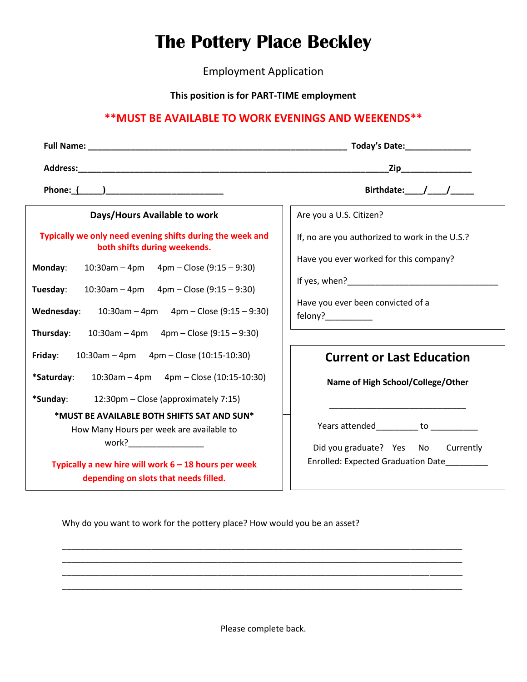## **The Pottery Place Beckley**

Employment Application

**This position is for PART-TIME employment**

## **\*\*MUST BE AVAILABLE TO WORK EVENINGS AND WEEKENDS\*\***

|                                                                                           | _Zip__________________                                                   |  |
|-------------------------------------------------------------------------------------------|--------------------------------------------------------------------------|--|
|                                                                                           |                                                                          |  |
|                                                                                           | Birthdate: / /                                                           |  |
| Days/Hours Available to work                                                              | Are you a U.S. Citizen?                                                  |  |
| Typically we only need evening shifts during the week and<br>both shifts during weekends. | If, no are you authorized to work in the U.S.?                           |  |
| $10:30$ am – 4pm – 4pm – Close (9:15 – 9:30)<br>Monday:                                   | Have you ever worked for this company?                                   |  |
| $10:30$ am - 4pm 4pm - Close (9:15 - 9:30)<br>Tuesday:                                    |                                                                          |  |
| $10:30$ am – 4pm – 4pm – Close (9:15 – 9:30)<br>Wednesday:                                | Have you ever been convicted of a<br>felony?__________                   |  |
| $10:30$ am - 4pm 4pm - Close (9:15 - 9:30)<br>Thursday:                                   | <u> 1989 - Johann Barbara, martin amerikan ba</u>                        |  |
| $10:30$ am – 4pm – 4pm – Close (10:15-10:30)<br>Friday:                                   | <b>Current or Last Education</b>                                         |  |
| *Saturday:<br>$10:30$ am - 4pm 4pm - Close (10:15-10:30)                                  | Name of High School/College/Other                                        |  |
| *Sunday:<br>12:30pm – Close (approximately 7:15)                                          |                                                                          |  |
| *MUST BE AVAILABLE BOTH SHIFTS SAT AND SUN*<br>How Many Hours per week are available to   | Years attended__________ to __________                                   |  |
| work?___________________<br>Typically a new hire will work $6 - 18$ hours per week        | Did you graduate? Yes No Currently<br>Enrolled: Expected Graduation Date |  |
| depending on slots that needs filled.                                                     |                                                                          |  |

Why do you want to work for the pottery place? How would you be an asset?

Please complete back.

\_\_\_\_\_\_\_\_\_\_\_\_\_\_\_\_\_\_\_\_\_\_\_\_\_\_\_\_\_\_\_\_\_\_\_\_\_\_\_\_\_\_\_\_\_\_\_\_\_\_\_\_\_\_\_\_\_\_\_\_\_\_\_\_\_\_\_\_\_\_\_\_\_\_\_\_\_\_\_\_\_\_\_\_\_ \_\_\_\_\_\_\_\_\_\_\_\_\_\_\_\_\_\_\_\_\_\_\_\_\_\_\_\_\_\_\_\_\_\_\_\_\_\_\_\_\_\_\_\_\_\_\_\_\_\_\_\_\_\_\_\_\_\_\_\_\_\_\_\_\_\_\_\_\_\_\_\_\_\_\_\_\_\_\_\_\_\_\_\_\_ \_\_\_\_\_\_\_\_\_\_\_\_\_\_\_\_\_\_\_\_\_\_\_\_\_\_\_\_\_\_\_\_\_\_\_\_\_\_\_\_\_\_\_\_\_\_\_\_\_\_\_\_\_\_\_\_\_\_\_\_\_\_\_\_\_\_\_\_\_\_\_\_\_\_\_\_\_\_\_\_\_\_\_\_\_ \_\_\_\_\_\_\_\_\_\_\_\_\_\_\_\_\_\_\_\_\_\_\_\_\_\_\_\_\_\_\_\_\_\_\_\_\_\_\_\_\_\_\_\_\_\_\_\_\_\_\_\_\_\_\_\_\_\_\_\_\_\_\_\_\_\_\_\_\_\_\_\_\_\_\_\_\_\_\_\_\_\_\_\_\_